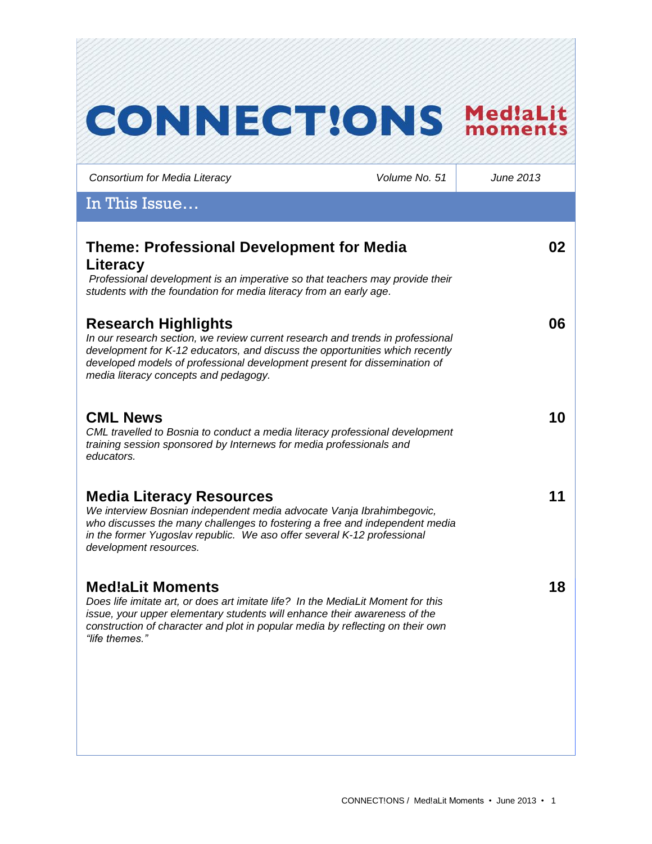| <b>CONNECTIONS</b>                                                                                                                                                                                                                                                                                                 |               | <b>Med!aLit</b><br>moments |
|--------------------------------------------------------------------------------------------------------------------------------------------------------------------------------------------------------------------------------------------------------------------------------------------------------------------|---------------|----------------------------|
| Consortium for Media Literacy                                                                                                                                                                                                                                                                                      | Volume No. 51 | June 2013                  |
| In This Issue                                                                                                                                                                                                                                                                                                      |               |                            |
| <b>Theme: Professional Development for Media</b><br>Literacy<br>Professional development is an imperative so that teachers may provide their                                                                                                                                                                       |               | 02                         |
| students with the foundation for media literacy from an early age.                                                                                                                                                                                                                                                 |               |                            |
| <b>Research Highlights</b><br>In our research section, we review current research and trends in professional<br>development for K-12 educators, and discuss the opportunities which recently<br>developed models of professional development present for dissemination of<br>media literacy concepts and pedagogy. |               | 06                         |
| <b>CML News</b><br>CML travelled to Bosnia to conduct a media literacy professional development<br>training session sponsored by Internews for media professionals and<br>educators.                                                                                                                               |               | 10                         |
| <b>Media Literacy Resources</b><br>We interview Bosnian independent media advocate Vanja Ibrahimbegovic,<br>who discusses the many challenges to fostering a free and independent media<br>in the former Yugoslav republic. We aso offer several K-12 professional<br>development resources.                       |               | 11                         |
| <b>Med!aLit Moments</b><br>Does life imitate art, or does art imitate life? In the MediaLit Moment for this<br>issue, your upper elementary students will enhance their awareness of the<br>construction of character and plot in popular media by reflecting on their own<br>"life themes."                       |               | 18                         |
|                                                                                                                                                                                                                                                                                                                    |               |                            |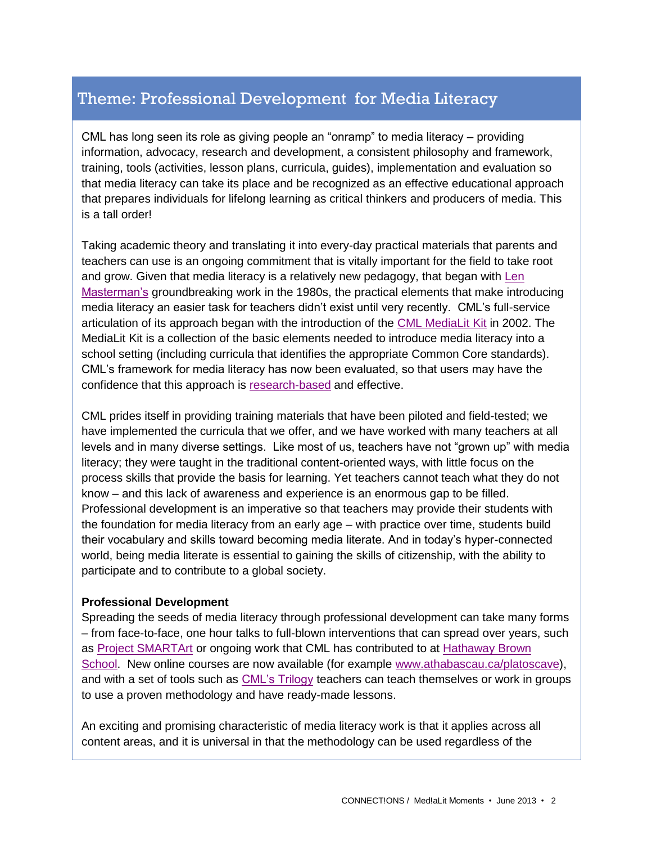# Theme: Professional Development for Media Literacy

CML has long seen its role as giving people an "onramp" to media literacy – providing information, advocacy, research and development, a consistent philosophy and framework, training, tools (activities, lesson plans, curricula, guides), implementation and evaluation so that media literacy can take its place and be recognized as an effective educational approach that prepares individuals for lifelong learning as critical thinkers and producers of media. This is a tall order!

Taking academic theory and translating it into every-day practical materials that parents and teachers can use is an ongoing commitment that is vitally important for the field to take root and grow. Given that media literacy is a relatively new pedagogy, that began with [Len](http://www.medialit.org/reading-room/voices-media-literacy-international-pioneers-speak-len-masterman-interview-transcript)  [Masterman's](http://www.medialit.org/reading-room/voices-media-literacy-international-pioneers-speak-len-masterman-interview-transcript) groundbreaking work in the 1980s, the practical elements that make introducing media literacy an easier task for teachers didn't exist until very recently. CML's full-service articulation of its approach began with the introduction of the [CML MediaLit Kit](http://www.medialit.org/cml-medialit-kit) in 2002. The MediaLit Kit is a collection of the basic elements needed to introduce media literacy into a school setting (including curricula that identifies the appropriate Common Core standards). CML's framework for media literacy has now been evaluated, so that users may have the confidence that this approach is [research-based](http://www.tandfonline.com/doi/abs/10.1080/17482798.2012.724591#.Ucjb1tvn-Uk) and effective.

CML prides itself in providing training materials that have been piloted and field-tested; we have implemented the curricula that we offer, and we have worked with many teachers at all levels and in many diverse settings. Like most of us, teachers have not "grown up" with media literacy; they were taught in the traditional content-oriented ways, with little focus on the process skills that provide the basis for learning. Yet teachers cannot teach what they do not know – and this lack of awareness and experience is an enormous gap to be filled. Professional development is an imperative so that teachers may provide their students with the foundation for media literacy from an early age – with practice over time, students build their vocabulary and skills toward becoming media literate. And in today's hyper-connected world, being media literate is essential to gaining the skills of citizenship, with the ability to participate and to contribute to a global society.

#### **Professional Development**

Spreading the seeds of media literacy through professional development can take many forms – from face-to-face, one hour talks to full-blown interventions that can spread over years, such as [Project SMARTArt](http://www.medialit.org/reading-room/project-smartart-case-study-elementary-school-media-literacy-and-arts-education) or ongoing work that CML has contributed to at [Hathaway Brown](http://www.medialit.org/reading-room/tectonic-cultural-shifts-require-media-literacy-schools)  [School.](http://www.medialit.org/reading-room/tectonic-cultural-shifts-require-media-literacy-schools) New online courses are now available (for example [www.athabascau.ca/platoscave\)](http://www.athabascau.ca/platoscave), and with a set of tools such as [CML's Trilogy](http://www.medialit.org/media-literacy-system-learning-anytime-anywhere) teachers can teach themselves or work in groups to use a proven methodology and have ready-made lessons.

An exciting and promising characteristic of media literacy work is that it applies across all content areas, and it is universal in that the methodology can be used regardless of the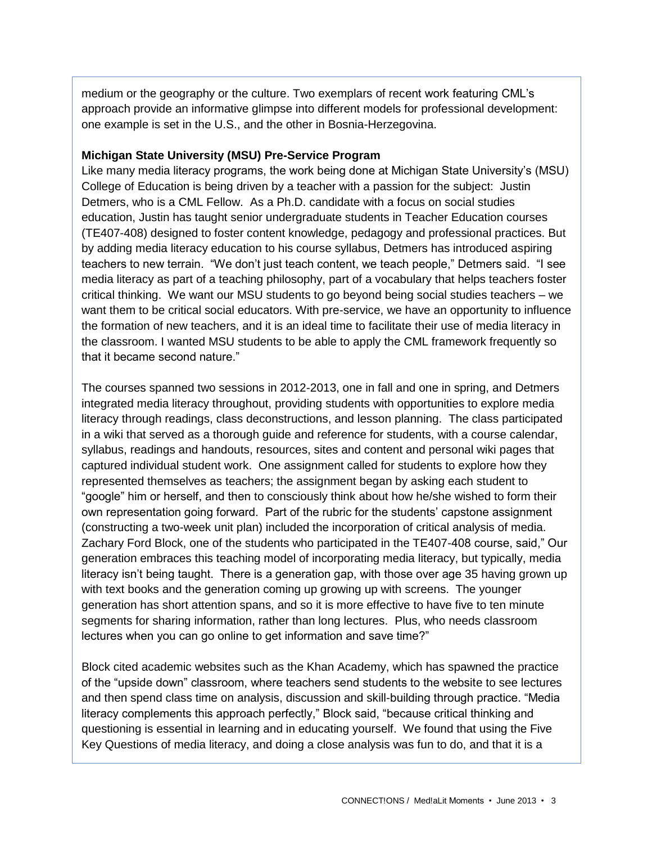medium or the geography or the culture. Two exemplars of recent work featuring CML's approach provide an informative glimpse into different models for professional development: one example is set in the U.S., and the other in Bosnia-Herzegovina.

#### **Michigan State University (MSU) Pre-Service Program**

Like many media literacy programs, the work being done at Michigan State University's (MSU) College of Education is being driven by a teacher with a passion for the subject: Justin Detmers, who is a CML Fellow. As a Ph.D. candidate with a focus on social studies education, Justin has taught senior undergraduate students in Teacher Education courses (TE407-408) designed to foster content knowledge, pedagogy and professional practices. But by adding media literacy education to his course syllabus, Detmers has introduced aspiring teachers to new terrain. "We don't just teach content, we teach people," Detmers said. "I see media literacy as part of a teaching philosophy, part of a vocabulary that helps teachers foster critical thinking. We want our MSU students to go beyond being social studies teachers – we want them to be critical social educators. With pre-service, we have an opportunity to influence the formation of new teachers, and it is an ideal time to facilitate their use of media literacy in the classroom. I wanted MSU students to be able to apply the CML framework frequently so that it became second nature."

The courses spanned two sessions in 2012-2013, one in fall and one in spring, and Detmers integrated media literacy throughout, providing students with opportunities to explore media literacy through readings, class deconstructions, and lesson planning. The class participated in a wiki that served as a thorough guide and reference for students, with a course calendar, syllabus, readings and handouts, resources, sites and content and personal wiki pages that captured individual student work. One assignment called for students to explore how they represented themselves as teachers; the assignment began by asking each student to "google" him or herself, and then to consciously think about how he/she wished to form their own representation going forward. Part of the rubric for the students' capstone assignment (constructing a two-week unit plan) included the incorporation of critical analysis of media. Zachary Ford Block, one of the students who participated in the TE407-408 course, said," Our generation embraces this teaching model of incorporating media literacy, but typically, media literacy isn't being taught. There is a generation gap, with those over age 35 having grown up with text books and the generation coming up growing up with screens. The younger generation has short attention spans, and so it is more effective to have five to ten minute segments for sharing information, rather than long lectures. Plus, who needs classroom lectures when you can go online to get information and save time?"

Block cited academic websites such as the Khan Academy, which has spawned the practice of the "upside down" classroom, where teachers send students to the website to see lectures and then spend class time on analysis, discussion and skill-building through practice. "Media literacy complements this approach perfectly," Block said, "because critical thinking and questioning is essential in learning and in educating yourself. We found that using the Five Key Questions of media literacy, and doing a close analysis was fun to do, and that it is a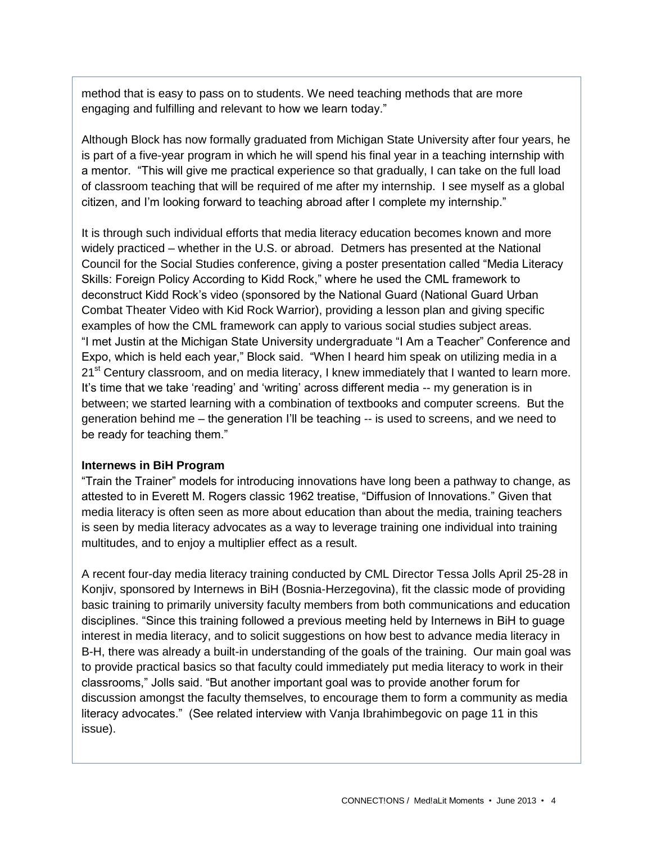method that is easy to pass on to students. We need teaching methods that are more engaging and fulfilling and relevant to how we learn today."

Although Block has now formally graduated from Michigan State University after four years, he is part of a five-year program in which he will spend his final year in a teaching internship with a mentor. "This will give me practical experience so that gradually, I can take on the full load of classroom teaching that will be required of me after my internship. I see myself as a global citizen, and I'm looking forward to teaching abroad after I complete my internship."

It is through such individual efforts that media literacy education becomes known and more widely practiced – whether in the U.S. or abroad. Detmers has presented at the National Council for the Social Studies conference, giving a poster presentation called "Media Literacy Skills: Foreign Policy According to Kidd Rock," where he used the CML framework to deconstruct Kidd Rock's video (sponsored by the National Guard (National Guard Urban Combat Theater Video with Kid Rock Warrior), providing a lesson plan and giving specific examples of how the CML framework can apply to various social studies subject areas. "I met Justin at the Michigan State University undergraduate "I Am a Teacher" Conference and Expo, which is held each year," Block said. "When I heard him speak on utilizing media in a 21<sup>st</sup> Century classroom, and on media literacy, I knew immediately that I wanted to learn more. It's time that we take 'reading' and 'writing' across different media -- my generation is in between; we started learning with a combination of textbooks and computer screens. But the generation behind me – the generation I'll be teaching -- is used to screens, and we need to be ready for teaching them."

#### **Internews in BiH Program**

"Train the Trainer" models for introducing innovations have long been a pathway to change, as attested to in Everett M. Rogers classic 1962 treatise, "Diffusion of Innovations." Given that media literacy is often seen as more about education than about the media, training teachers is seen by media literacy advocates as a way to leverage training one individual into training multitudes, and to enjoy a multiplier effect as a result.

A recent four-day media literacy training conducted by CML Director Tessa Jolls April 25-28 in Konjiv, sponsored by Internews in BiH (Bosnia-Herzegovina), fit the classic mode of providing basic training to primarily university faculty members from both communications and education disciplines. "Since this training followed a previous meeting held by Internews in BiH to guage interest in media literacy, and to solicit suggestions on how best to advance media literacy in B-H, there was already a built-in understanding of the goals of the training. Our main goal was to provide practical basics so that faculty could immediately put media literacy to work in their classrooms," Jolls said. "But another important goal was to provide another forum for discussion amongst the faculty themselves, to encourage them to form a community as media literacy advocates." (See related interview with Vanja Ibrahimbegovic on page 11 in this issue).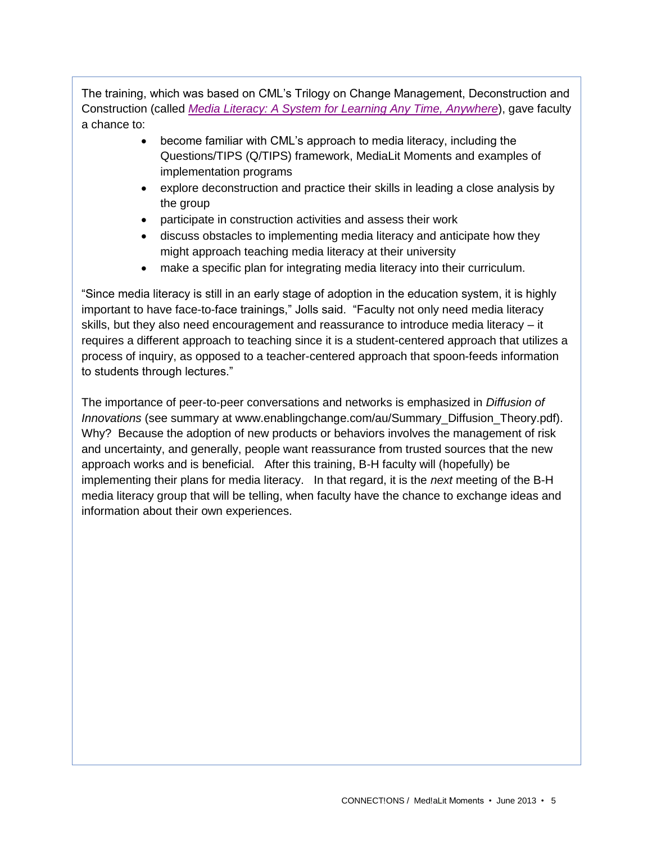The training, which was based on CML's Trilogy on Change Management, Deconstruction and Construction (called *[Media Literacy: A System for Learning Any Time, Anywhere](http://www.medialit.org/media-literacy-system-learning-anytime-anywhere)*), gave faculty a chance to:

- become familiar with CML's approach to media literacy, including the Questions/TIPS (Q/TIPS) framework, MediaLit Moments and examples of implementation programs
- explore deconstruction and practice their skills in leading a close analysis by the group
- participate in construction activities and assess their work
- discuss obstacles to implementing media literacy and anticipate how they might approach teaching media literacy at their university
- make a specific plan for integrating media literacy into their curriculum.

"Since media literacy is still in an early stage of adoption in the education system, it is highly important to have face-to-face trainings," Jolls said. "Faculty not only need media literacy skills, but they also need encouragement and reassurance to introduce media literacy – it requires a different approach to teaching since it is a student-centered approach that utilizes a process of inquiry, as opposed to a teacher-centered approach that spoon-feeds information to students through lectures."

The importance of peer-to-peer conversations and networks is emphasized in *Diffusion of Innovations* (see summary at www.enablingchange.com/au/Summary\_Diffusion\_Theory.pdf). Why? Because the adoption of new products or behaviors involves the management of risk and uncertainty, and generally, people want reassurance from trusted sources that the new approach works and is beneficial. After this training, B-H faculty will (hopefully) be implementing their plans for media literacy. In that regard, it is the *next* meeting of the B-H media literacy group that will be telling, when faculty have the chance to exchange ideas and information about their own experiences.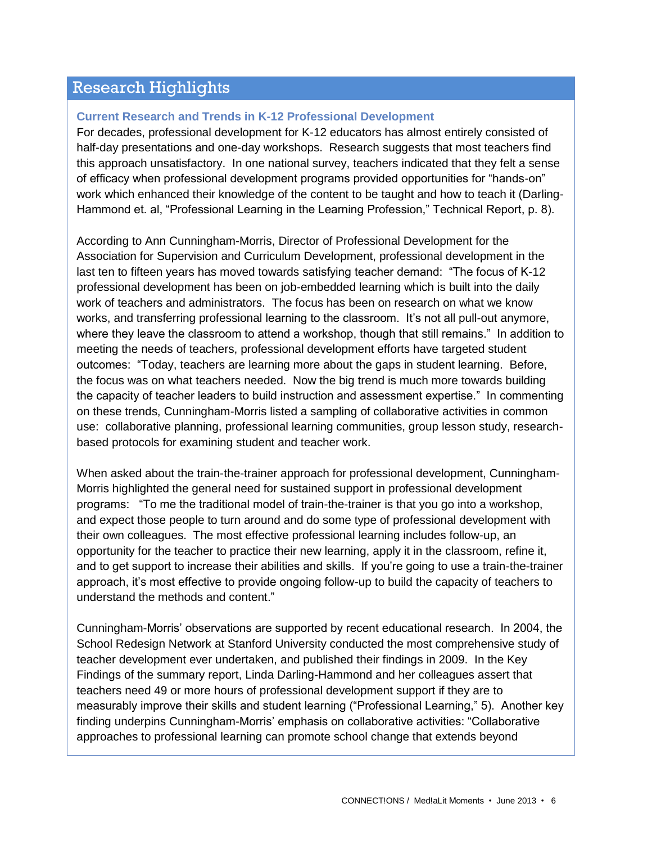## Research Highlights

#### **Current Research and Trends in K-12 Professional Development**

For decades, professional development for K-12 educators has almost entirely consisted of half-day presentations and one-day workshops. Research suggests that most teachers find this approach unsatisfactory. In one national survey, teachers indicated that they felt a sense of efficacy when professional development programs provided opportunities for "hands-on" work which enhanced their knowledge of the content to be taught and how to teach it (Darling-Hammond et. al, "Professional Learning in the Learning Profession," Technical Report, p. 8).

According to Ann Cunningham-Morris, Director of Professional Development for the Association for Supervision and Curriculum Development, professional development in the last ten to fifteen years has moved towards satisfying teacher demand: "The focus of K-12 professional development has been on job-embedded learning which is built into the daily work of teachers and administrators. The focus has been on research on what we know works, and transferring professional learning to the classroom. It's not all pull-out anymore, where they leave the classroom to attend a workshop, though that still remains." In addition to meeting the needs of teachers, professional development efforts have targeted student outcomes: "Today, teachers are learning more about the gaps in student learning. Before, the focus was on what teachers needed. Now the big trend is much more towards building the capacity of teacher leaders to build instruction and assessment expertise." In commenting on these trends, Cunningham-Morris listed a sampling of collaborative activities in common use: collaborative planning, professional learning communities, group lesson study, researchbased protocols for examining student and teacher work.

When asked about the train-the-trainer approach for professional development, Cunningham-Morris highlighted the general need for sustained support in professional development programs: "To me the traditional model of train-the-trainer is that you go into a workshop, and expect those people to turn around and do some type of professional development with their own colleagues. The most effective professional learning includes follow-up, an opportunity for the teacher to practice their new learning, apply it in the classroom, refine it, and to get support to increase their abilities and skills. If you're going to use a train-the-trainer approach, it's most effective to provide ongoing follow-up to build the capacity of teachers to understand the methods and content."

Cunningham-Morris' observations are supported by recent educational research. In 2004, the School Redesign Network at Stanford University conducted the most comprehensive study of teacher development ever undertaken, and published their findings in 2009. In the Key Findings of the summary report, Linda Darling-Hammond and her colleagues assert that teachers need 49 or more hours of professional development support if they are to measurably improve their skills and student learning ("Professional Learning," 5). Another key finding underpins Cunningham-Morris' emphasis on collaborative activities: "Collaborative approaches to professional learning can promote school change that extends beyond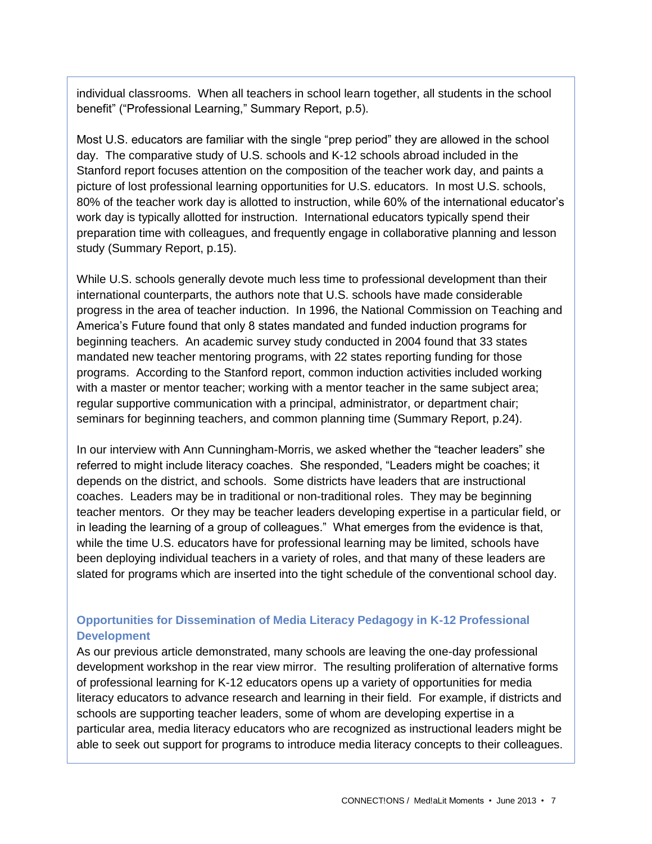individual classrooms. When all teachers in school learn together, all students in the school benefit" ("Professional Learning," Summary Report, p.5).

Most U.S. educators are familiar with the single "prep period" they are allowed in the school day. The comparative study of U.S. schools and K-12 schools abroad included in the Stanford report focuses attention on the composition of the teacher work day, and paints a picture of lost professional learning opportunities for U.S. educators. In most U.S. schools, 80% of the teacher work day is allotted to instruction, while 60% of the international educator's work day is typically allotted for instruction. International educators typically spend their preparation time with colleagues, and frequently engage in collaborative planning and lesson study (Summary Report, p.15).

While U.S. schools generally devote much less time to professional development than their international counterparts, the authors note that U.S. schools have made considerable progress in the area of teacher induction. In 1996, the National Commission on Teaching and America's Future found that only 8 states mandated and funded induction programs for beginning teachers. An academic survey study conducted in 2004 found that 33 states mandated new teacher mentoring programs, with 22 states reporting funding for those programs. According to the Stanford report, common induction activities included working with a master or mentor teacher; working with a mentor teacher in the same subject area; regular supportive communication with a principal, administrator, or department chair; seminars for beginning teachers, and common planning time (Summary Report, p.24).

In our interview with Ann Cunningham-Morris, we asked whether the "teacher leaders" she referred to might include literacy coaches. She responded, "Leaders might be coaches; it depends on the district, and schools. Some districts have leaders that are instructional coaches. Leaders may be in traditional or non-traditional roles. They may be beginning teacher mentors. Or they may be teacher leaders developing expertise in a particular field, or in leading the learning of a group of colleagues." What emerges from the evidence is that, while the time U.S. educators have for professional learning may be limited, schools have been deploying individual teachers in a variety of roles, and that many of these leaders are slated for programs which are inserted into the tight schedule of the conventional school day.

## **Opportunities for Dissemination of Media Literacy Pedagogy in K-12 Professional Development**

As our previous article demonstrated, many schools are leaving the one-day professional development workshop in the rear view mirror. The resulting proliferation of alternative forms of professional learning for K-12 educators opens up a variety of opportunities for media literacy educators to advance research and learning in their field. For example, if districts and schools are supporting teacher leaders, some of whom are developing expertise in a particular area, media literacy educators who are recognized as instructional leaders might be able to seek out support for programs to introduce media literacy concepts to their colleagues.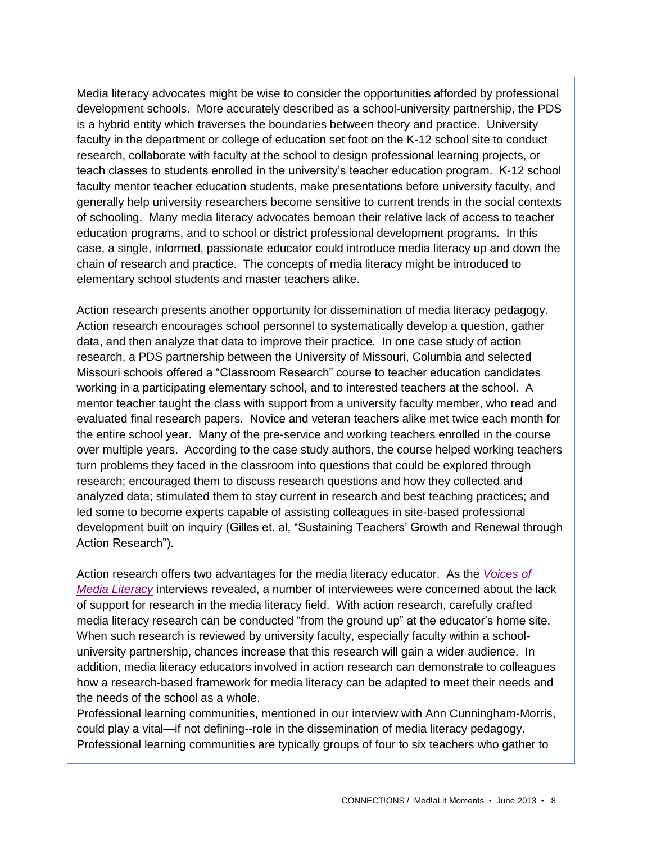Media literacy advocates might be wise to consider the opportunities afforded by professional development schools. More accurately described as a school-university partnership, the PDS is a hybrid entity which traverses the boundaries between theory and practice. University faculty in the department or college of education set foot on the K-12 school site to conduct research, collaborate with faculty at the school to design professional learning projects, or teach classes to students enrolled in the university's teacher education program. K-12 school faculty mentor teacher education students, make presentations before university faculty, and generally help university researchers become sensitive to current trends in the social contexts of schooling. Many media literacy advocates bemoan their relative lack of access to teacher education programs, and to school or district professional development programs. In this case, a single, informed, passionate educator could introduce media literacy up and down the chain of research and practice. The concepts of media literacy might be introduced to elementary school students and master teachers alike.

Action research presents another opportunity for dissemination of media literacy pedagogy. Action research encourages school personnel to systematically develop a question, gather data, and then analyze that data to improve their practice. In one case study of action research, a PDS partnership between the University of Missouri, Columbia and selected Missouri schools offered a "Classroom Research" course to teacher education candidates working in a participating elementary school, and to interested teachers at the school. A mentor teacher taught the class with support from a university faculty member, who read and evaluated final research papers. Novice and veteran teachers alike met twice each month for the entire school year. Many of the pre-service and working teachers enrolled in the course over multiple years. According to the case study authors, the course helped working teachers turn problems they faced in the classroom into questions that could be explored through research; encouraged them to discuss research questions and how they collected and analyzed data; stimulated them to stay current in research and best teaching practices; and led some to become experts capable of assisting colleagues in site-based professional development built on inquiry (Gilles et. al, "Sustaining Teachers' Growth and Renewal through Action Research").

Action research offers two advantages for the media literacy educator. As the *[Voices of](http://www.medialit.org/voices-media-literacy-international-pioneers-speak)  [Media Literacy](http://www.medialit.org/voices-media-literacy-international-pioneers-speak)* interviews revealed, a number of interviewees were concerned about the lack of support for research in the media literacy field. With action research, carefully crafted media literacy research can be conducted "from the ground up" at the educator's home site. When such research is reviewed by university faculty, especially faculty within a schooluniversity partnership, chances increase that this research will gain a wider audience. In addition, media literacy educators involved in action research can demonstrate to colleagues how a research-based framework for media literacy can be adapted to meet their needs and the needs of the school as a whole.

Professional learning communities, mentioned in our interview with Ann Cunningham-Morris, could play a vital—if not defining--role in the dissemination of media literacy pedagogy. Professional learning communities are typically groups of four to six teachers who gather to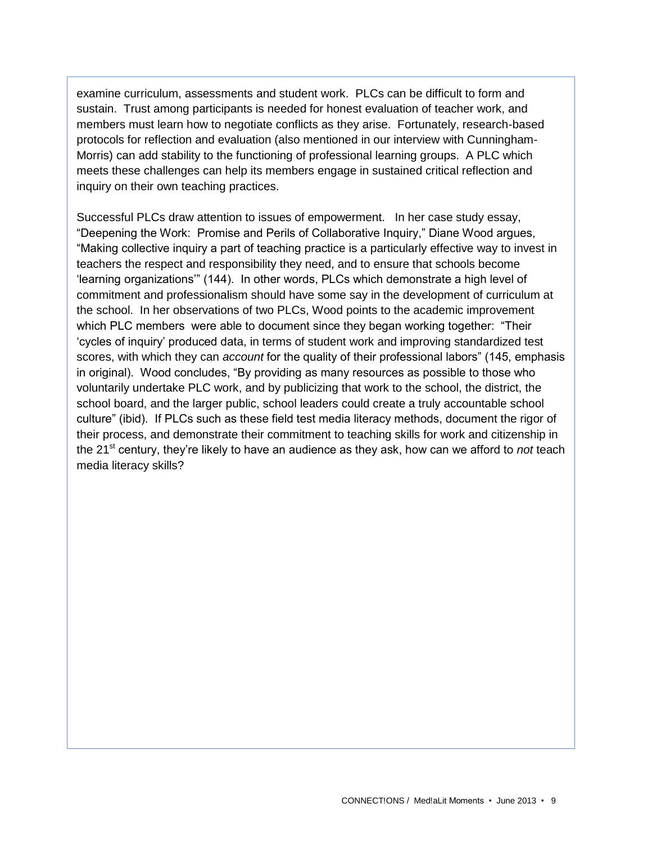examine curriculum, assessments and student work. PLCs can be difficult to form and sustain. Trust among participants is needed for honest evaluation of teacher work, and members must learn how to negotiate conflicts as they arise. Fortunately, research-based protocols for reflection and evaluation (also mentioned in our interview with Cunningham-Morris) can add stability to the functioning of professional learning groups. A PLC which meets these challenges can help its members engage in sustained critical reflection and inquiry on their own teaching practices.

Successful PLCs draw attention to issues of empowerment. In her case study essay, "Deepening the Work: Promise and Perils of Collaborative Inquiry," Diane Wood argues, "Making collective inquiry a part of teaching practice is a particularly effective way to invest in teachers the respect and responsibility they need, and to ensure that schools become 'learning organizations'" (144). In other words, PLCs which demonstrate a high level of commitment and professionalism should have some say in the development of curriculum at the school. In her observations of two PLCs, Wood points to the academic improvement which PLC members were able to document since they began working together: "Their 'cycles of inquiry' produced data, in terms of student work and improving standardized test scores, with which they can *account* for the quality of their professional labors" (145, emphasis in original). Wood concludes, "By providing as many resources as possible to those who voluntarily undertake PLC work, and by publicizing that work to the school, the district, the school board, and the larger public, school leaders could create a truly accountable school culture" (ibid). If PLCs such as these field test media literacy methods, document the rigor of their process, and demonstrate their commitment to teaching skills for work and citizenship in the 21<sup>st</sup> century, they're likely to have an audience as they ask, how can we afford to *not* teach media literacy skills?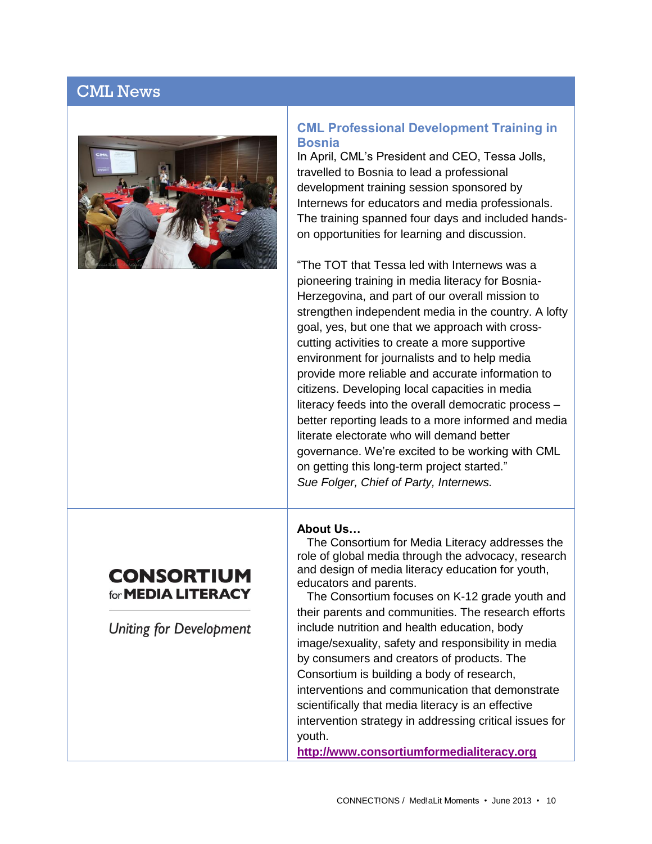# CML News



#### **CML Professional Development Training in Bosnia**

In April, CML's President and CEO, Tessa Jolls, travelled to Bosnia to lead a professional development training session sponsored by Internews for educators and media professionals. The training spanned four days and included handson opportunities for learning and discussion.

"The TOT that Tessa led with Internews was a pioneering training in media literacy for Bosnia-Herzegovina, and part of our overall mission to strengthen independent media in the country. A lofty goal, yes, but one that we approach with crosscutting activities to create a more supportive environment for journalists and to help media provide more reliable and accurate information to citizens. Developing local capacities in media literacy feeds into the overall democratic process – better reporting leads to a more informed and media literate electorate who will demand better governance. We're excited to be working with CML on getting this long-term project started." *Sue Folger, Chief of Party, Internews.*

#### **About Us…**

 The Consortium for Media Literacy addresses the role of global media through the advocacy, research and design of media literacy education for youth, educators and parents.

 The Consortium focuses on K-12 grade youth and their parents and communities. The research efforts include nutrition and health education, body image/sexuality, safety and responsibility in media by consumers and creators of products. The Consortium is building a body of research, interventions and communication that demonstrate scientifically that media literacy is an effective intervention strategy in addressing critical issues for youth.

**[http://www.consortiumformedialiteracy.org](http://www.consortiumformedialiteracy.org/)**

## **CONSORTIUM** for **MEDIA LITERACY**

**Uniting for Development**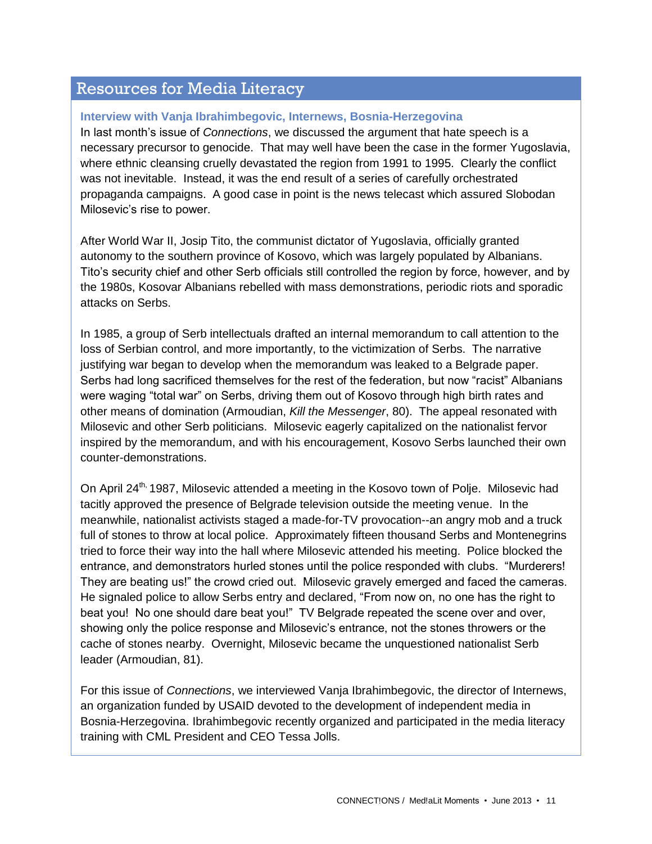# Resources for Media Literacy

#### **Interview with Vanja Ibrahimbegovic, Internews, Bosnia-Herzegovina**

In last month's issue of *Connections*, we discussed the argument that hate speech is a necessary precursor to genocide. That may well have been the case in the former Yugoslavia, where ethnic cleansing cruelly devastated the region from 1991 to 1995. Clearly the conflict was not inevitable. Instead, it was the end result of a series of carefully orchestrated propaganda campaigns. A good case in point is the news telecast which assured Slobodan Milosevic's rise to power.

After World War II, Josip Tito, the communist dictator of Yugoslavia, officially granted autonomy to the southern province of Kosovo, which was largely populated by Albanians. Tito's security chief and other Serb officials still controlled the region by force, however, and by the 1980s, Kosovar Albanians rebelled with mass demonstrations, periodic riots and sporadic attacks on Serbs.

In 1985, a group of Serb intellectuals drafted an internal memorandum to call attention to the loss of Serbian control, and more importantly, to the victimization of Serbs. The narrative justifying war began to develop when the memorandum was leaked to a Belgrade paper. Serbs had long sacrificed themselves for the rest of the federation, but now "racist" Albanians were waging "total war" on Serbs, driving them out of Kosovo through high birth rates and other means of domination (Armoudian, *Kill the Messenger*, 80). The appeal resonated with Milosevic and other Serb politicians. Milosevic eagerly capitalized on the nationalist fervor inspired by the memorandum, and with his encouragement, Kosovo Serbs launched their own counter-demonstrations.

On April 24<sup>th,</sup> 1987, Milosevic attended a meeting in the Kosovo town of Polje. Milosevic had tacitly approved the presence of Belgrade television outside the meeting venue. In the meanwhile, nationalist activists staged a made-for-TV provocation--an angry mob and a truck full of stones to throw at local police. Approximately fifteen thousand Serbs and Montenegrins tried to force their way into the hall where Milosevic attended his meeting. Police blocked the entrance, and demonstrators hurled stones until the police responded with clubs. "Murderers! They are beating us!" the crowd cried out. Milosevic gravely emerged and faced the cameras. He signaled police to allow Serbs entry and declared, "From now on, no one has the right to beat you! No one should dare beat you!" TV Belgrade repeated the scene over and over, showing only the police response and Milosevic's entrance, not the stones throwers or the cache of stones nearby. Overnight, Milosevic became the unquestioned nationalist Serb leader (Armoudian, 81).

For this issue of *Connections*, we interviewed Vanja Ibrahimbegovic, the director of Internews, an organization funded by USAID devoted to the development of independent media in Bosnia-Herzegovina. Ibrahimbegovic recently organized and participated in the media literacy training with CML President and CEO Tessa Jolls.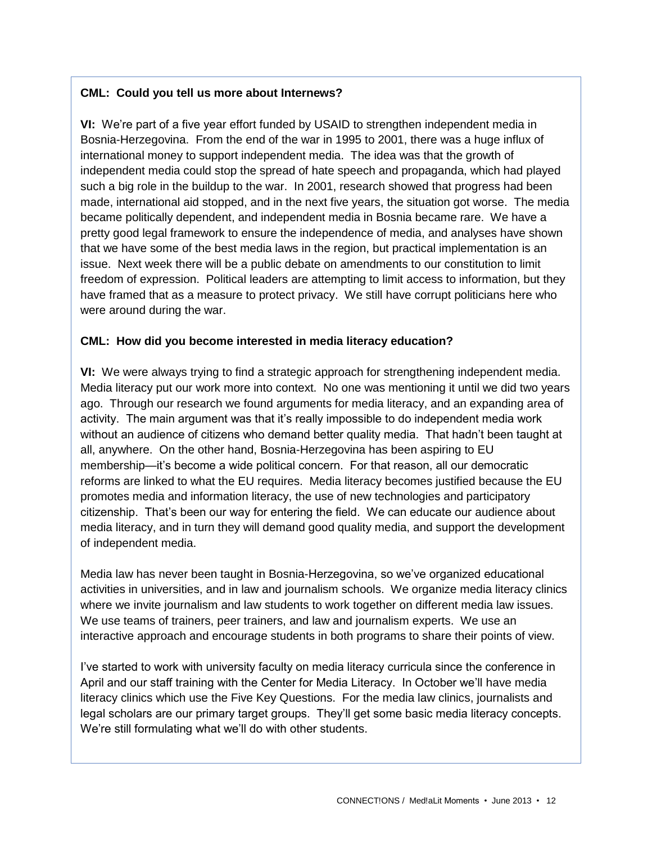### **CML: Could you tell us more about Internews?**

**VI:** We're part of a five year effort funded by USAID to strengthen independent media in Bosnia-Herzegovina. From the end of the war in 1995 to 2001, there was a huge influx of international money to support independent media. The idea was that the growth of independent media could stop the spread of hate speech and propaganda, which had played such a big role in the buildup to the war. In 2001, research showed that progress had been made, international aid stopped, and in the next five years, the situation got worse. The media became politically dependent, and independent media in Bosnia became rare. We have a pretty good legal framework to ensure the independence of media, and analyses have shown that we have some of the best media laws in the region, but practical implementation is an issue. Next week there will be a public debate on amendments to our constitution to limit freedom of expression. Political leaders are attempting to limit access to information, but they have framed that as a measure to protect privacy. We still have corrupt politicians here who were around during the war.

#### **CML: How did you become interested in media literacy education?**

**VI:** We were always trying to find a strategic approach for strengthening independent media. Media literacy put our work more into context. No one was mentioning it until we did two years ago. Through our research we found arguments for media literacy, and an expanding area of activity. The main argument was that it's really impossible to do independent media work without an audience of citizens who demand better quality media. That hadn't been taught at all, anywhere. On the other hand, Bosnia-Herzegovina has been aspiring to EU membership—it's become a wide political concern. For that reason, all our democratic reforms are linked to what the EU requires. Media literacy becomes justified because the EU promotes media and information literacy, the use of new technologies and participatory citizenship. That's been our way for entering the field. We can educate our audience about media literacy, and in turn they will demand good quality media, and support the development of independent media.

Media law has never been taught in Bosnia-Herzegovina, so we've organized educational activities in universities, and in law and journalism schools. We organize media literacy clinics where we invite journalism and law students to work together on different media law issues. We use teams of trainers, peer trainers, and law and journalism experts. We use an interactive approach and encourage students in both programs to share their points of view.

I've started to work with university faculty on media literacy curricula since the conference in April and our staff training with the Center for Media Literacy. In October we'll have media literacy clinics which use the Five Key Questions. For the media law clinics, journalists and legal scholars are our primary target groups. They'll get some basic media literacy concepts. We're still formulating what we'll do with other students.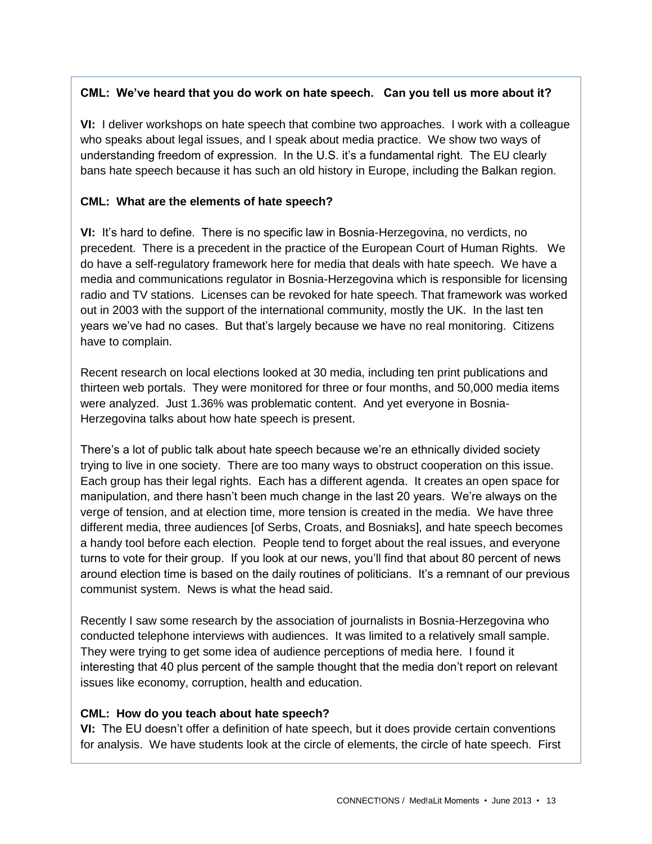## **CML: We've heard that you do work on hate speech. Can you tell us more about it?**

**VI:** I deliver workshops on hate speech that combine two approaches. I work with a colleague who speaks about legal issues, and I speak about media practice. We show two ways of understanding freedom of expression. In the U.S. it's a fundamental right. The EU clearly bans hate speech because it has such an old history in Europe, including the Balkan region.

### **CML: What are the elements of hate speech?**

**VI:** It's hard to define. There is no specific law in Bosnia-Herzegovina, no verdicts, no precedent. There is a precedent in the practice of the European Court of Human Rights. We do have a self-regulatory framework here for media that deals with hate speech. We have a media and communications regulator in Bosnia-Herzegovina which is responsible for licensing radio and TV stations. Licenses can be revoked for hate speech. That framework was worked out in 2003 with the support of the international community, mostly the UK. In the last ten years we've had no cases. But that's largely because we have no real monitoring. Citizens have to complain.

Recent research on local elections looked at 30 media, including ten print publications and thirteen web portals. They were monitored for three or four months, and 50,000 media items were analyzed. Just 1.36% was problematic content. And yet everyone in Bosnia-Herzegovina talks about how hate speech is present.

There's a lot of public talk about hate speech because we're an ethnically divided society trying to live in one society. There are too many ways to obstruct cooperation on this issue. Each group has their legal rights. Each has a different agenda. It creates an open space for manipulation, and there hasn't been much change in the last 20 years. We're always on the verge of tension, and at election time, more tension is created in the media. We have three different media, three audiences [of Serbs, Croats, and Bosniaks], and hate speech becomes a handy tool before each election. People tend to forget about the real issues, and everyone turns to vote for their group. If you look at our news, you'll find that about 80 percent of news around election time is based on the daily routines of politicians. It's a remnant of our previous communist system. News is what the head said.

Recently I saw some research by the association of journalists in Bosnia-Herzegovina who conducted telephone interviews with audiences. It was limited to a relatively small sample. They were trying to get some idea of audience perceptions of media here. I found it interesting that 40 plus percent of the sample thought that the media don't report on relevant issues like economy, corruption, health and education.

#### **CML: How do you teach about hate speech?**

**VI:** The EU doesn't offer a definition of hate speech, but it does provide certain conventions for analysis. We have students look at the circle of elements, the circle of hate speech. First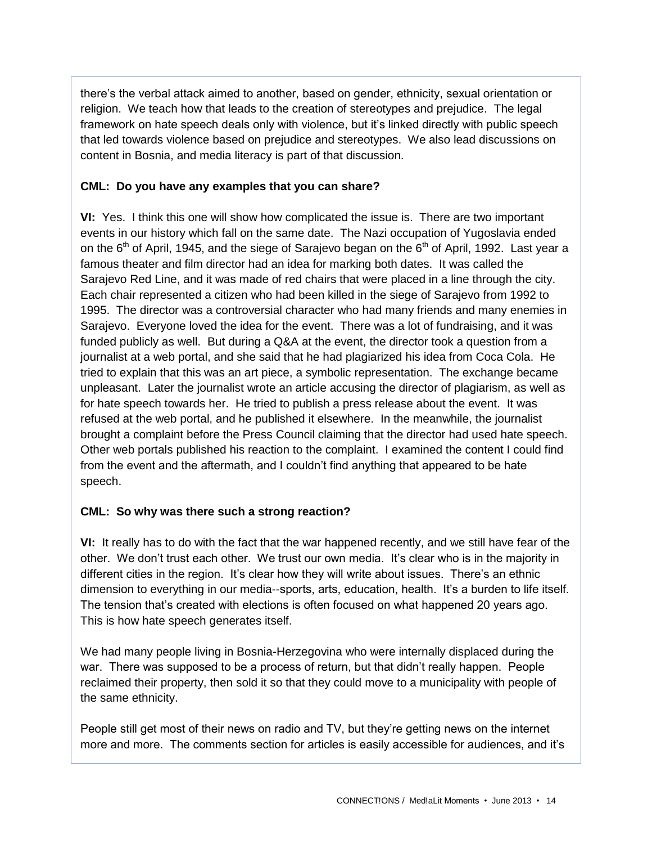there's the verbal attack aimed to another, based on gender, ethnicity, sexual orientation or religion. We teach how that leads to the creation of stereotypes and prejudice. The legal framework on hate speech deals only with violence, but it's linked directly with public speech that led towards violence based on prejudice and stereotypes. We also lead discussions on content in Bosnia, and media literacy is part of that discussion.

### **CML: Do you have any examples that you can share?**

**VI:** Yes. I think this one will show how complicated the issue is. There are two important events in our history which fall on the same date. The Nazi occupation of Yugoslavia ended on the  $6<sup>th</sup>$  of April, 1945, and the siege of Sarajevo began on the  $6<sup>th</sup>$  of April, 1992. Last year a famous theater and film director had an idea for marking both dates. It was called the Sarajevo Red Line, and it was made of red chairs that were placed in a line through the city. Each chair represented a citizen who had been killed in the siege of Sarajevo from 1992 to 1995. The director was a controversial character who had many friends and many enemies in Sarajevo. Everyone loved the idea for the event. There was a lot of fundraising, and it was funded publicly as well. But during a Q&A at the event, the director took a question from a journalist at a web portal, and she said that he had plagiarized his idea from Coca Cola. He tried to explain that this was an art piece, a symbolic representation. The exchange became unpleasant. Later the journalist wrote an article accusing the director of plagiarism, as well as for hate speech towards her. He tried to publish a press release about the event. It was refused at the web portal, and he published it elsewhere. In the meanwhile, the journalist brought a complaint before the Press Council claiming that the director had used hate speech. Other web portals published his reaction to the complaint. I examined the content I could find from the event and the aftermath, and I couldn't find anything that appeared to be hate speech.

## **CML: So why was there such a strong reaction?**

**VI:** It really has to do with the fact that the war happened recently, and we still have fear of the other. We don't trust each other. We trust our own media. It's clear who is in the majority in different cities in the region. It's clear how they will write about issues. There's an ethnic dimension to everything in our media--sports, arts, education, health. It's a burden to life itself. The tension that's created with elections is often focused on what happened 20 years ago. This is how hate speech generates itself.

We had many people living in Bosnia-Herzegovina who were internally displaced during the war. There was supposed to be a process of return, but that didn't really happen. People reclaimed their property, then sold it so that they could move to a municipality with people of the same ethnicity.

People still get most of their news on radio and TV, but they're getting news on the internet more and more. The comments section for articles is easily accessible for audiences, and it's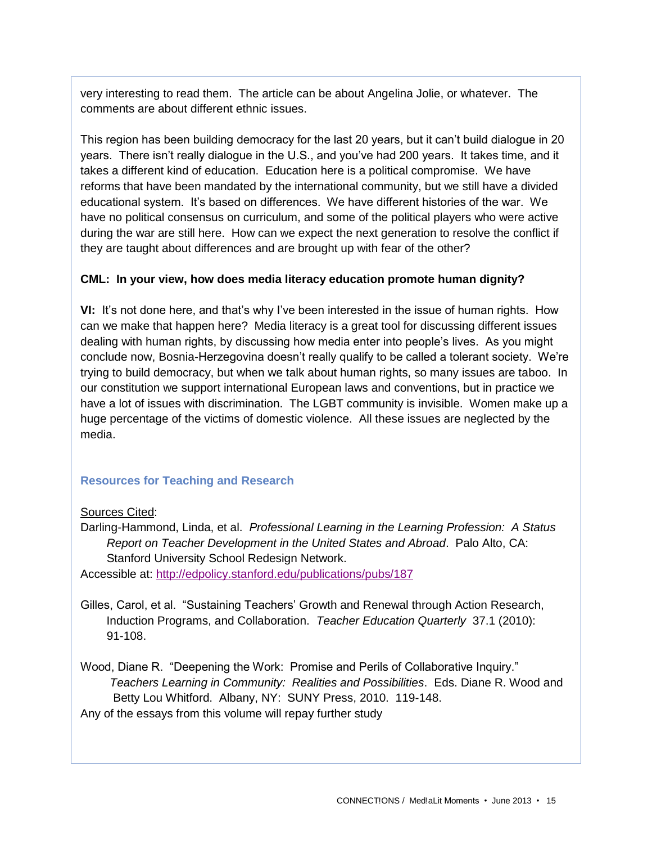very interesting to read them. The article can be about Angelina Jolie, or whatever. The comments are about different ethnic issues.

This region has been building democracy for the last 20 years, but it can't build dialogue in 20 years. There isn't really dialogue in the U.S., and you've had 200 years. It takes time, and it takes a different kind of education. Education here is a political compromise. We have reforms that have been mandated by the international community, but we still have a divided educational system. It's based on differences. We have different histories of the war. We have no political consensus on curriculum, and some of the political players who were active during the war are still here. How can we expect the next generation to resolve the conflict if they are taught about differences and are brought up with fear of the other?

#### **CML: In your view, how does media literacy education promote human dignity?**

**VI:** It's not done here, and that's why I've been interested in the issue of human rights. How can we make that happen here? Media literacy is a great tool for discussing different issues dealing with human rights, by discussing how media enter into people's lives. As you might conclude now, Bosnia-Herzegovina doesn't really qualify to be called a tolerant society. We're trying to build democracy, but when we talk about human rights, so many issues are taboo. In our constitution we support international European laws and conventions, but in practice we have a lot of issues with discrimination. The LGBT community is invisible. Women make up a huge percentage of the victims of domestic violence. All these issues are neglected by the media.

### **Resources for Teaching and Research**

#### Sources Cited:

Darling-Hammond, Linda, et al. *Professional Learning in the Learning Profession: A Status Report on Teacher Development in the United States and Abroad*. Palo Alto, CA: Stanford University School Redesign Network.

Accessible at:<http://edpolicy.stanford.edu/publications/pubs/187>

- Gilles, Carol, et al. "Sustaining Teachers' Growth and Renewal through Action Research, Induction Programs, and Collaboration. *Teacher Education Quarterly* 37.1 (2010): 91-108.
- Wood, Diane R. "Deepening the Work: Promise and Perils of Collaborative Inquiry."  *Teachers Learning in Community: Realities and Possibilities*. Eds. Diane R. Wood and Betty Lou Whitford. Albany, NY: SUNY Press, 2010. 119-148. Any of the essays from this volume will repay further study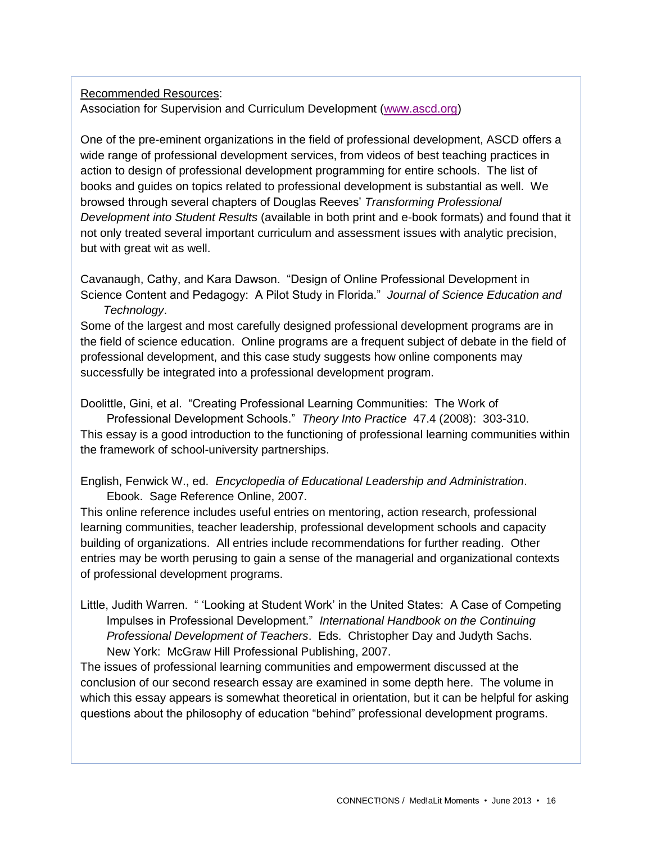## Recommended Resources: Association for Supervision and Curriculum Development [\(www.ascd.org\)](http://www.ascd.org/)

One of the pre-eminent organizations in the field of professional development, ASCD offers a wide range of professional development services, from videos of best teaching practices in action to design of professional development programming for entire schools. The list of books and guides on topics related to professional development is substantial as well. We browsed through several chapters of Douglas Reeves' *Transforming Professional Development into Student Results* (available in both print and e-book formats) and found that it not only treated several important curriculum and assessment issues with analytic precision, but with great wit as well.

Cavanaugh, Cathy, and Kara Dawson. "Design of Online Professional Development in Science Content and Pedagogy: A Pilot Study in Florida." *Journal of Science Education and Technology*.

Some of the largest and most carefully designed professional development programs are in the field of science education. Online programs are a frequent subject of debate in the field of professional development, and this case study suggests how online components may successfully be integrated into a professional development program.

Doolittle, Gini, et al. "Creating Professional Learning Communities: The Work of

 Professional Development Schools." *Theory Into Practice* 47.4 (2008): 303-310. This essay is a good introduction to the functioning of professional learning communities within the framework of school-university partnerships.

English, Fenwick W., ed. *Encyclopedia of Educational Leadership and Administration*. Ebook. Sage Reference Online, 2007.

This online reference includes useful entries on mentoring, action research, professional learning communities, teacher leadership, professional development schools and capacity building of organizations. All entries include recommendations for further reading. Other entries may be worth perusing to gain a sense of the managerial and organizational contexts of professional development programs.

Little, Judith Warren. " 'Looking at Student Work' in the United States: A Case of Competing Impulses in Professional Development." *International Handbook on the Continuing Professional Development of Teachers*. Eds. Christopher Day and Judyth Sachs. New York: McGraw Hill Professional Publishing, 2007.

The issues of professional learning communities and empowerment discussed at the conclusion of our second research essay are examined in some depth here. The volume in which this essay appears is somewhat theoretical in orientation, but it can be helpful for asking questions about the philosophy of education "behind" professional development programs.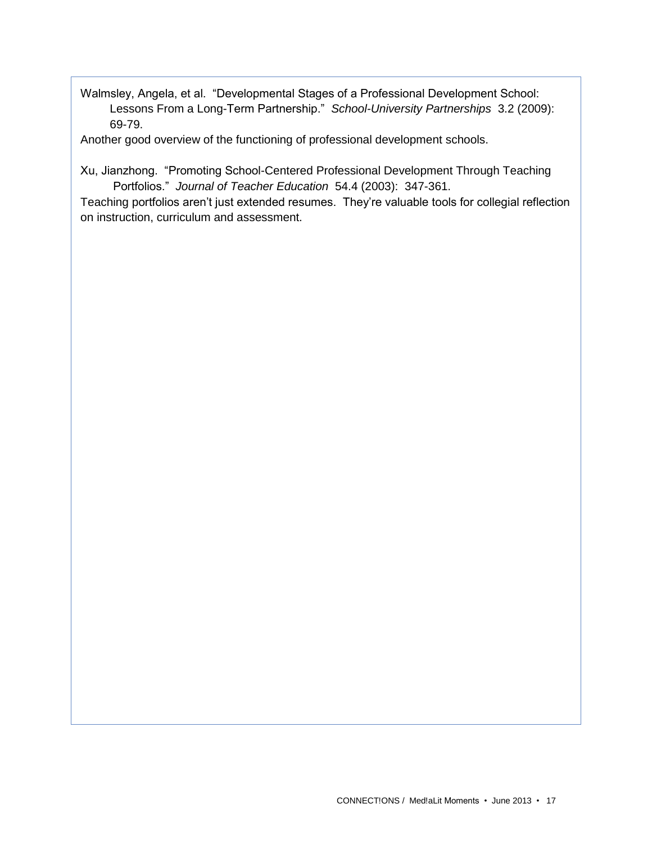Walmsley, Angela, et al. "Developmental Stages of a Professional Development School: Lessons From a Long-Term Partnership." *School-University Partnerships* 3.2 (2009): 69-79.

Another good overview of the functioning of professional development schools.

Xu, Jianzhong. "Promoting School-Centered Professional Development Through Teaching Portfolios." *Journal of Teacher Education* 54.4 (2003): 347-361.

Teaching portfolios aren't just extended resumes. They're valuable tools for collegial reflection on instruction, curriculum and assessment.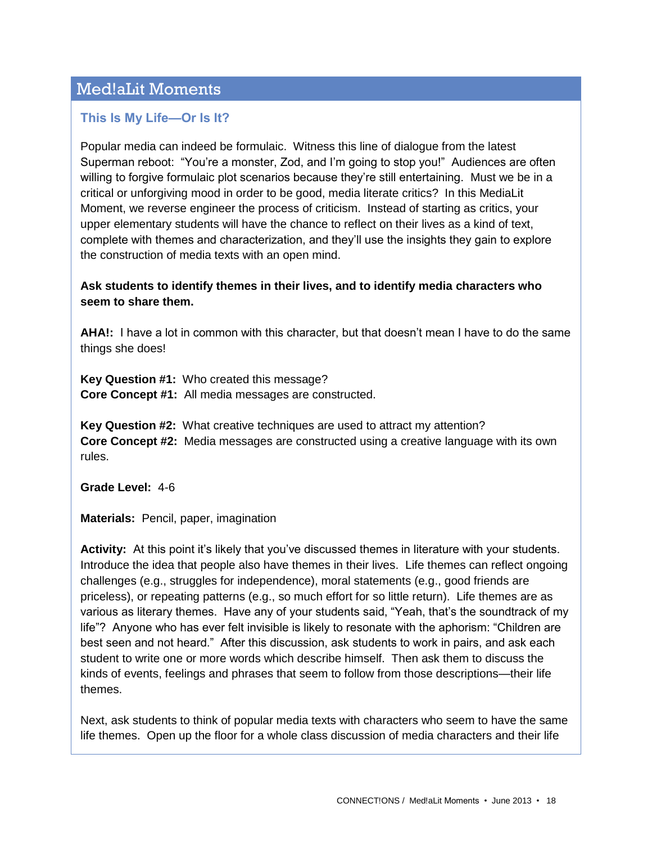# Med!aLit Moments

## **This Is My Life—Or Is It?**

Popular media can indeed be formulaic. Witness this line of dialogue from the latest Superman reboot: "You're a monster, Zod, and I'm going to stop you!" Audiences are often willing to forgive formulaic plot scenarios because they're still entertaining. Must we be in a critical or unforgiving mood in order to be good, media literate critics? In this MediaLit Moment, we reverse engineer the process of criticism. Instead of starting as critics, your upper elementary students will have the chance to reflect on their lives as a kind of text, complete with themes and characterization, and they'll use the insights they gain to explore the construction of media texts with an open mind.

### **Ask students to identify themes in their lives, and to identify media characters who seem to share them.**

**AHA!:** I have a lot in common with this character, but that doesn't mean I have to do the same things she does!

**Key Question #1:** Who created this message? **Core Concept #1:** All media messages are constructed.

**Key Question #2:** What creative techniques are used to attract my attention? **Core Concept #2:** Media messages are constructed using a creative language with its own rules.

**Grade Level:** 4-6

**Materials:** Pencil, paper, imagination

**Activity:** At this point it's likely that you've discussed themes in literature with your students. Introduce the idea that people also have themes in their lives. Life themes can reflect ongoing challenges (e.g., struggles for independence), moral statements (e.g., good friends are priceless), or repeating patterns (e.g., so much effort for so little return). Life themes are as various as literary themes. Have any of your students said, "Yeah, that's the soundtrack of my life"? Anyone who has ever felt invisible is likely to resonate with the aphorism: "Children are best seen and not heard." After this discussion, ask students to work in pairs, and ask each student to write one or more words which describe himself. Then ask them to discuss the kinds of events, feelings and phrases that seem to follow from those descriptions—their life themes.

Next, ask students to think of popular media texts with characters who seem to have the same life themes. Open up the floor for a whole class discussion of media characters and their life